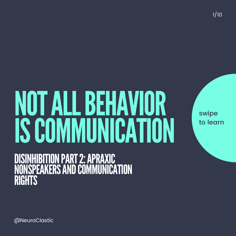NOTALLBEHAVIOR ISCOMMUNICATION DISINHIBITION PART 2: APRAXIC NONSPEAKERS AND COMMUNICATION **RIGHTS** 

swipe to learn

1/10

@NeuroClastic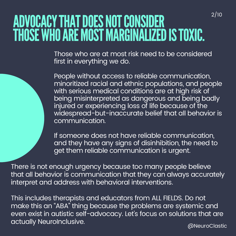## ADVOCACY THAT DOES NOT CONSIDER THOSE WHO ARE MOST MARGINALIZED IS TOXIC.

Those who are at most risk need to be considered first in everything we do.

People without access to reliable communication, minoritized racial and ethnic populations, and people with serious medical conditions are at high risk of being misinterpreted as dangerous and being badly injured or experiencing loss of life because of the widespread-but-inaccurate belief that all behavior is communication.

If someone does not have reliable communication, and they have any signs of disinhibition, the need to get them reliable communication is urgent.

There is not enough urgency because too many people believe that all behavior is communication that they can always accurately interpret and address with behavioral interventions.

@NeuroClastic This includes therapists and educators from ALL FIELDS. Do not make this an "ABA" thing because the problems are systemic and even exist in autistic self-advocacy. Let' s focus on solutions that are actually NeuroInclusive.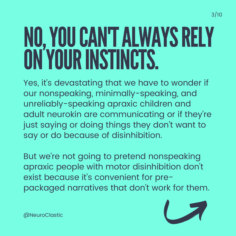# NO,YOUCAN'TALWAYSRELY ON'YOUR INSTINCTS.

Yes, it's devastating that we have to wonder if our nonspeaking, minimally-speaking, and unreliably-speaking apraxic children and adult neurokin are communicating or if they 're just saying or doing things they don 't want to say or do because of disinhibition.

But we 're not going to pretend nonspeaking apraxic people with motor disinhibition don 't exist because it' s convenient for prepackaged narratives that don 't work for them.



3/10

@NeuroClastic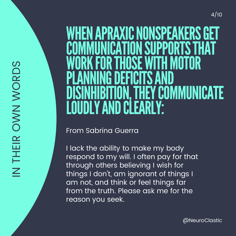#### WHEN APRAXIC NONSPEAKERS GE<br>COMMUNICATION SUPPORTS THAT<br>WORK FOR THOSE WITH MOTOR<br>PLANNING DEFICITS AND<br>DISINHIBITION, THEY COMMUNICAT<br>LOUDLY AND CLEARLY:<br>From sabrina Guerra<br>Llack the ability to make my body<br>respond to my **WHEN** A PRAXIC NONSPE A **KERS GET** COMMUNICATION N SUPPORTS THAT **WC** O<sup>T</sup> R K F<br>F **O R** T i<br>H OSE WITH MOTOR **P LAI** Ni **NINO**  $\ddot{0}$ **D** E **FICITS** AI **NI**  $\ddot{\textbf{D}}$ **DISINI** HIBITIO N, THEY COMMUNICATE **LOUDLY** AI ND CLE **AI RLY:**

### From Sabrina Guerra

I lack the ability to make my body' respond to my will. I often pay for that through others believing I wish for things I don't, am ignorant of things I am not, and think or feel things far from the truth. Please ask me for the

IN THEIR OWN WORDS IN THEIR OWN WORDS / 1 0

@NeuroClastic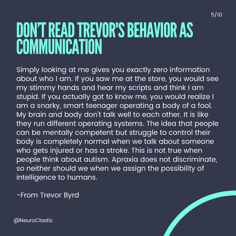## DON'T READ TREVOR'S BEHAVIOR AS **COMMUNICATION**

Simply looking at me gives you exactly zero information about who I am. If you saw me at the store, you would see my stimmy hands and hear my scripts and think I am stupid. If you actually got to know me, you would realize I am a snarky, smart teenager operating a body of a fool. My brain and body don 't talk well to each other. It is like they run different operating systems. The idea that people can be mentally competent but struggle to control their body is completely normal when we talk about someone who gets injured or has a stroke. This is not true when people think about autism. Apraxia does not discriminate, so neither should we when we assign the possibility of intelligence to humans.

-From Trevor Byrd

@NeuroClastic



5/10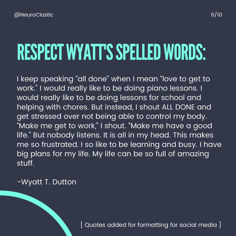## RESPECT WYATT'S SPELLED WORDS:

I keep speaking "all done" when I mean "love to get to" work." I would really like to be doing piano lessons. I would really like to be doing lessons for school and helping with chores. But instead, I shout ALL DONE and get stressed over not being able to control my body. "Make me get to work, " I shout. "Make me have a good life." But nobody listens. It is all in my head. This makes me so frustrated. I so like to be learning and busy. I have big plans for my life. My life can be so full of amazing stuff.

-Wyatt T. Dutton

[ Quotes added for formatting for social media ]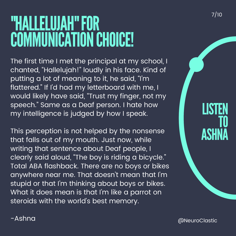## "HALLELUJAH"FOR COMMUNICATION CHOICE!

The first time I met the principal at my school, I chanted, "Hallelujah!" loudly in his face. Kind of putting a lot of meaning to it, he said, "I' m flattered." If I'd had my letterboard with me, I would likely have said, "Trust my finger, not my speech." Same as a Deaf person. I hate how my intelligence is judged by how I speak.

This perception is not helped by the nonsense that falls out of my mouth. Just now, while writing that sentence about Deaf people, I clearly said aloud, "The boy is riding a bicycle." Total ABA flashback. There are no boys or bikes anywhere near me. That doesn 't mean that I' m stupid or that I' m thinking about boys or bikes. What it does mean is that I' m like a parrot on steroids with the world' s best memory.

LISTEI TO ASHNA

-Ashna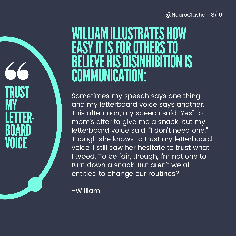### WILLIAM ILLUSTRATES HOW **IT IS FOR OTHERS** BELIEVE HIS DISINHIBITION IS COMMUNICATION:

Sometimes my speech says one thing and my letterboard voice says another. This afternoon, my speech said "Yes " to mom s offer to give me a snack, but my ' letterboard voice said, "I don 't need one." Though she knows to trust my letterboard voice, I still saw her hesitate to trust what I typed. To be fair, though, I' m not one to turn down a snack. But aren 't we all entitled to change our routines?

-William

TRUST

LETTER-

BOARD

**VOICE** 

**MY**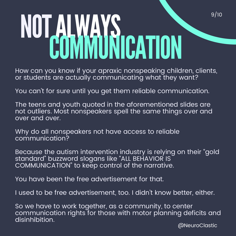# NOTALWAYS COMMUNICATION

How can you know if your apraxic nonspeaking children, clients, or students are actually communicating what they want?

You can 't for sure until you get them reliable communication.

The teens and youth quoted in the aforementioned slides are not outliers. Most nonspeakers spell the same things over and over and over.

Why do all nonspeakers not have access to reliable communication?

Because the autism intervention industry is relying on their " gold standard" buzzword slogans like "ALL BEHAVIOR IS COMMUNICATION" to keep control of the narrative.

You have been the free advertisement for that.

I used to be free advertisement, too. I didn 't know better, either.

So we have to work together, as a community, to center communication rights for those with motor planning deficits and disinhibition.

@NeuroClastic

9/10